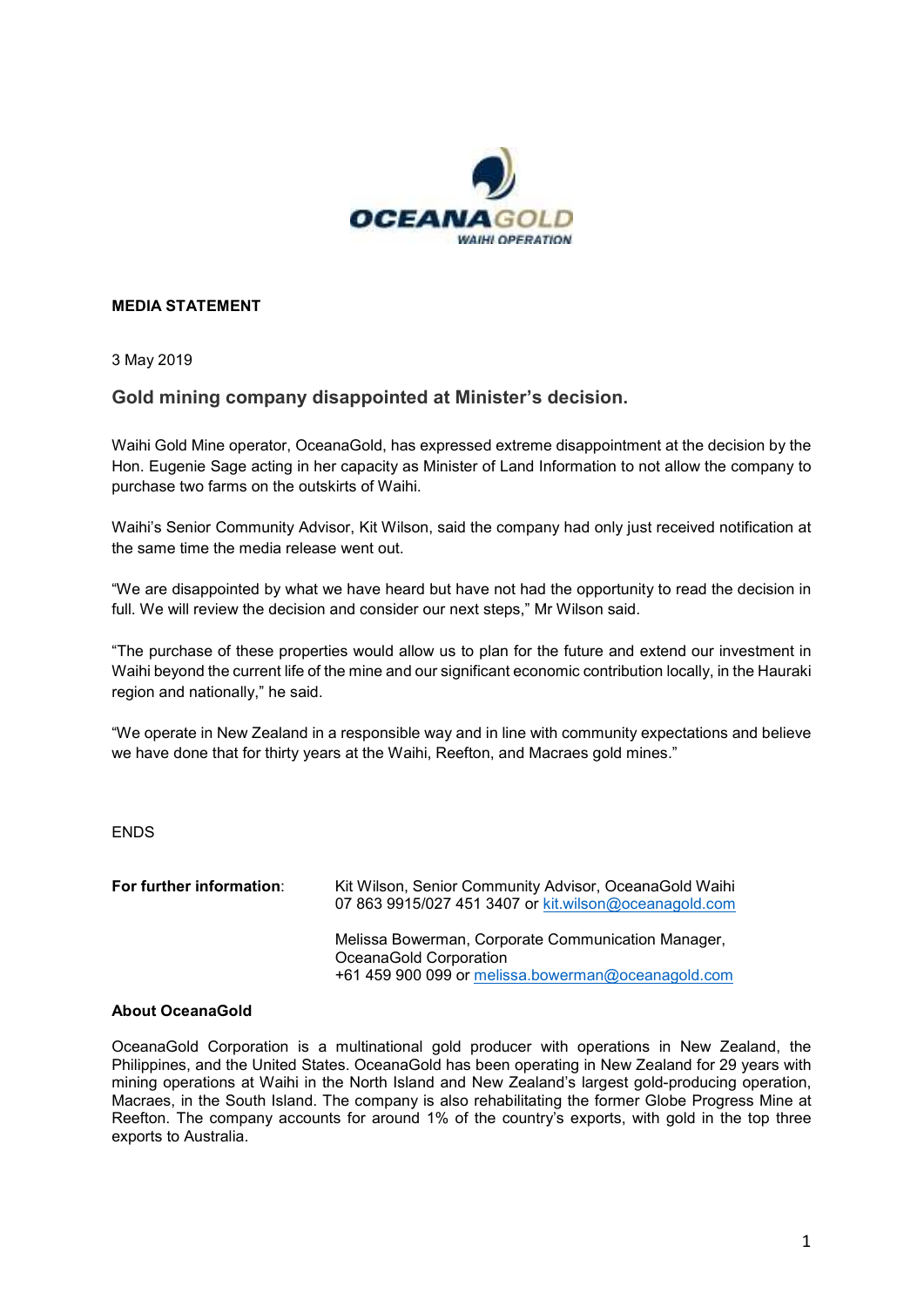

## **MEDIA STATEMENT**

3 May 2019

## **Gold mining company disappointed at Minister's decision.**

Waihi Gold Mine operator, OceanaGold, has expressed extreme disappointment at the decision by the Hon. Eugenie Sage acting in her capacity as Minister of Land Information to not allow the company to purchase two farms on the outskirts of Waihi.

Waihi's Senior Community Advisor, Kit Wilson, said the company had only just received notification at the same time the media release went out.

"We are disappointed by what we have heard but have not had the opportunity to read the decision in full. We will review the decision and consider our next steps," Mr Wilson said.

"The purchase of these properties would allow us to plan for the future and extend our investment in Waihi beyond the current life of the mine and our significant economic contribution locally, in the Hauraki region and nationally," he said.

"We operate in New Zealand in a responsible way and in line with community expectations and believe we have done that for thirty years at the Waihi, Reefton, and Macraes gold mines."

ENDS

| For further information: | Kit Wilson, Senior Community Advisor, OceanaGold Waihi<br>07 863 9915/027 451 3407 or kit.wilson@oceanagold.com                    |
|--------------------------|------------------------------------------------------------------------------------------------------------------------------------|
|                          | Melissa Bowerman, Corporate Communication Manager,<br>OceanaGold Corporation<br>+61 459 900 099 or melissa.bowerman@oceanagold.com |

## **About OceanaGold**

OceanaGold Corporation is a multinational gold producer with operations in New Zealand, the Philippines, and the United States. OceanaGold has been operating in New Zealand for 29 years with mining operations at Waihi in the North Island and New Zealand's largest gold-producing operation, Macraes, in the South Island. The company is also rehabilitating the former Globe Progress Mine at Reefton. The company accounts for around 1% of the country's exports, with gold in the top three exports to Australia.